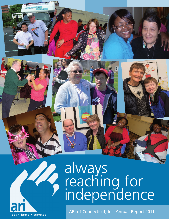# always reaching for independence

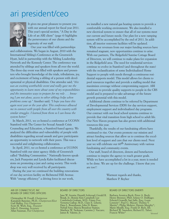### ari president/ceo



It gives me great pleasure to present you with our annual report for fiscal year 2011. This year's special section, "A Day in the Life of an ARI client" (page 4) highlights the perseverance of our clients and the ingenuity of our staff.

Our year was filled with partnerships and collaborations. We began in August, 2010 with the International Sibling's Conference at the Greenwich Hyatt, held in partnership with the Sibling Leadership Network and the Kennedy Center. The conference was attended by siblings and speakers from all over the world. The three-day event was filled with speakers and presenters who brought knowledge of the trials, tribulations, joy, and excitement of being a sibling of a person with developmental or physical disabilities. One attendee said; *"this was an exciting worthwhile event and really gave me the opportunity to learn more about some of my responsibilities and the innovative ways to prepare for my role . . . knowing I am not alone, access to other siblings helps when problems come up."* Another said; *"I hope you have this again next year or the year after. This conference allowed me to connect with people from all over the country with similar struggles. I learned from them so I can know the system better."*

In March, 2011, we co-hosted a conference at UCONN Stamford with The Center for Sexual Assault Crisis Counseling and Education, a Stamford-based agency. We analyzed the difficulties and vulnerability of people with disabilities regarding sexual assault and gave participants an opportunity to network with their peers. This was a successful and enlightening collaboration.

In April, 2011, we co-hosted a conference at UCONN Stamford with our sister agency Abilis of Greenwich called "Building Communities." Nationally-known speakers, Jack Pearpoint and Lynda Kahn facilitated discussions on promoting a just and caring society. This workshop was very well received by all participants.

During the year we continued the building renovations of our day services facility on Richmond Hill Avenue. With "energy efficiency" a driving force in our work,

we installed a new natural gas heating system to provide a comfortable working environment. We also installed a new electrical system to ensure that all of our systems meet our current and future needs. Our plan for a new ramping system will be accomplished by the end of 2011. In addition, all interior restroom facilities will be updated.

While our revenues from our major funding sources have remained stagnant, new opportunities continue to arise. With our partners, The Ridgefield Sunrise Cottage Board of Directors, we will continue to make plans for expansion in the Ridgefield area. The need for residential services continue to evolve in Stamford (and throughout the state) with the reclassification of some Individualized Home Support to people with needs through a continuous residential supports model. This model allows for clients to pool resources together and provide a staffing model that maximizes coverage without compromising support. ARI continues to provide quality supports to people in the CRS model and is prepared to take advantage of the future growth potential with this model.

Additional clients continue to be referred by Department of Developmental Services (DDS) for day services support, employment support and individualized day programs. Our contract with our local school systems continue to provide that vital transition from high school to adult life. Our New Haven program has also grown with additional resources this year.

Thankfully, the results of our fundraising efforts have continued to rise. Our events promote our mission and attract funding sources that allow us to continue the excellent level of support and care that our clients need. Next year we will celebrate our 60<sup>th</sup> Anniversary with various fundraising and community events.

Our staff, board of directors, donors and benefactors continue to inspire the agency to reach greater goals. While we have accomplished a lot in a year, more is needed to be done. We are up for the challenge. I know that you are too!!

> Warmest regards and thanks, Matthew P. Reyher

#### ARI OF CONNECTICUT, INC BOARD OF DIRECTORS OFFICERS

Christopher M. Foxall, *Chairperson* Kamalesh Banerjee, Ph.D., *Chairperson-Elect* Gail Malloy, *Vice Chairperson* Scott M. Wich, Esq., *Treasurer* John E. Downing, *Secretary* Allan Sussman, *Past Chairperson*

#### BOARD OF DIRECTORS

Jane W. Arestia; Donald Axleroad; Gerald R. Bosak, Jr.; Bonnie Kim Campbell; Lee Combrinck-Graham, M.D.; Ginny Fox; Vernetta Gallop; M.D., Clare E. Liberis; Dara L. Rosenbaum; John D. Russo; Neftali Soto; Marcia Bresslour Staines; Matthew W. Tackman; Carmine J. Vaccaro; James R. Valente, Jr.

#### BOARD OF DIRECTORS EMERITI

Barbara Aronica-Buck; Peter A. Buck; Henry Brenner, PhD; Arlene O. DuBiago; Edward Granelli; Sari Jaffe, Esq.; Louis Lotstein\*; Paul G. Macari; Thelma V. Martin\*; Philip Molstre; Dennis Murphy\*; Mario Musilli, Esq.; Frank D. Rich, III; Richard W. Saunders; Richard E. Taber; Francis White\* *\*deceased*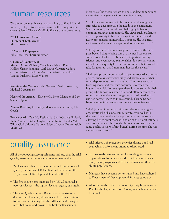### human resources

We are fortunate to have an extraordinary staff at ARI and we are privileged to honor so many for their longevity and special talents. This year's HR Staff Awards are presented to:

**2011 LONGEVITY AWARDS 15 Years of Employment** Max Brisseaux

**10 Years of Employment** Julia Edwards; Sherri Norwood

#### **5 Years of Employment**

Marnie Dupree-Nelson; Micheline Gabriel; Renita Holley; Sharon Jennings; Carl Lewis; Carmen Madera; Carlton Martin; Sheldon Morrison; Matthew Reyher; Jacques Richeme; Myia Walters

**Rookie of the Year** – Kendra Williams, Skills Instructor, Medical Department

**Heart of the Agency** – Darlene Caviness, Manager of Day Service Options

**Always Reaching for Independence** – Valerie Ennis, Job Coach

**Team Award** – Tally Ho Residential Staff (Octavia Pollard, Tysha Smith, Ahisha Douglas, Taria Hunter, Tanika Miller, Willie Clark, Marnie Dupree-Nelson, Beverly Burke, Asiah Matthew)

Here are a few excerpts from the outstanding nominations we received this year – without naming names;

". . . for her commitment to be creative in devising new strategies to accommodate the needs of the consumers. She always keeps in mind that challenging behavior is communicating an unmet need. She views such challenges as an opportunity to find new ways to meet needs and never personalizes an individual's actions. She is a great motivator and a great example to all of her co-workers."

"She appreciates that in serving our consumers the need goes beyond simply being safe . . . the need for our consumers to feel valued, to be seen as important, having friends, and even having relationships. It is for her commitment to seek a quality life for our consumers that most of us take for granted, that I nominate her for this award."

"This group continuously works together toward a common goal for success, shows flexibility and always assists when other departments are short-staffed. They are always in a teaching mode and motivate consumers to reach their highest potential. For example, there is a consumer in their group who is now in a wheelchair and often becomes frustrated. Staff members encourage her to push hard and to use her body strength to move around. This helps her become more independent and renews her self-esteem.

"She's jumped into her position and demonstrated great organizational skills. She communicates very well with the team. She's developed a rapport with our consumers allowing her to assist them with some of their most intimate and private issues. She has also been able to maintain the same quality of work (if not better) during the time she was without a supervisor."

### quality assurance

All of the following accomplishments indicate that the ARI Quality Assurance Systems continue to be effective:

- We have new clients receiving services from the school system, the Bureau of Rehabilitation Services and the Department of Developmental Services (DDS).
- The five group homes managed by ARI all received a two-year license—the highest level an agency can attain.
- The state Quality Service Reviews have consistently documented few if any deficiencies. Incidents continue to decrease, indicating that the ARI staff and management believe in and provide the best quality services.
- ARI offered 183 recreation activities during our fiscal year, which 2,270 clients attended (duplicated.)
- Six proposals were submitted for funding to various organizations, foundations and trust funds to enhance our present programs and to offer services to other disability populations.
- Managers have become better trained and have adhered to Department of Developmental Services standards.
- All of the goals in the Continuous Quality Improvement Plan for the Department of Developmental Services have been met.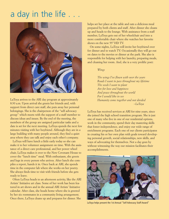## a day in the life . . .



LaToya arrives to the ARI day program at approximately 8:30 a.m. Upon arrival she greets her friends and, with support from direct care staff, she puts away her personal belongings. She is the chairperson of the "self advocacy group" which meets with the support of a staff member to discuss ideas and issues. By the end of the meeting, the members of the group are assigned particular tasks and a date is set for the next meeting. LaToya spends the next few minutes visiting with her boyfriend. Although they are in a large building with many people around, they find a quiet area where they can talk and enjoy each other's company.

LaToya will have lunch a little early today so she can make it to her volunteer assignment on time. With the assistance of a direct care professional, and her power wheel chair, LaToya makes it over to the New Covenant House to cover the "lunch time" meal. With enthusiasm, she greets and logs in every person who arrives. After lunch she compiles a report, hands it in. Once back at ARI, she spends time in the computer lab where she works on her poetry. She always finds time to visit with friends before she gets ready to leave.

Often LaToya heads to an afternoon activity, like the ARI Artists' Initiative art class. Some of her work has been featured in art shows and in the annual ARI Artists' Initiative calendar. After class, she heads home where she is greeted by her six roommates in a community living arrangement. Once there, LaToya cleans up and prepares for dinner. She

helps set her place at the table and eats a delicious meal prepared by both clients and staff. After dinner she cleans up and heads to the lounge. With assistance from a staff member, LaToya gets out of her wheelchair and into a more comfortable chair where she watches her favorite shows on the new 55'' HD TV.

On some nights, LaToya will invite her boyfriend over for dinner and to watch TV. Occasionally they will go out on dates to the movies or dinner at the park. She also is responsible for helping with her laundry, preparing meals, and cleaning her room. And, she is a very prolific poet:

#### *Wings*

*The wings I've flown with over the years Roads I want to pass throughout my lifetime The seeds I want to plant Are for love and happiness And peace throughout the world For I would like to see Humanity come together and not divided ~LaToya*

LaToya has received services at ARI for nine years, since she joined the high school transition program. She is just one of many who live in one of our residential options, work in the community, spend their day mastering skills that foster independence, and enjoy our wide range of enrichment programs. Each one of our clients participates in creating his or her own plan with goals toward developing personal growth, social relationships, new skills, and ways of advocating for themselves. Not a day goes by without witnessing the way our mission facilitates their accomplishments.



LaToya helps present the 1st Annual "Self Advocacy Staff Award"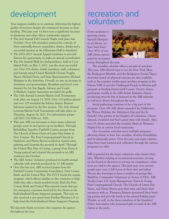quality of services despite the continued decrease in State funding. This past year we have seen a significant increase in donations and other direct community support.

- The 2nd Annual Fall Comedy Night took place last October. Over 100 attendees enjoyed the comedy of three nationally-known comedians, dinner, drinks and a successful auction at the Hibernian Hall in Stamford.
- The 2010–2011 Annual Appeal continues to provide donors the opportunity to make an annual contribution.
- The 5th Annual Walk for Independence, held at Cove Island Park, on May 1, 2011, was the most successful yet! Over 350 clients, family members, staff, volunteers, and friends joined Grand Marshall Christel Truglia, Mayor Michael Pavia, and State Representative Michael Molgano in the festivities. Overall, we saw an increase in donations *and* sponsorships. Breakfast and lunch were donated by Liz Sue Bagels, Subway and Grade A Markets. Lapine Associates provided the grills.
- The 15th Annual Lotstein/Martin Golf Tournament took place on August 19, 2010. Over 110 golfers played and over 125 attended the lobster dinner. Bennett Salvatore assisted in the live auction. The 16th Annual Lotstein/Martin Golf Tournament will take place on Thursday, August 18, 2011. For information please call (203) 324-9258 ext. 3023.
- This year ARI was fortunate to have many volunteer groups come in and spruce up its facilities. Through Rebuilding Together Fairfield County, groups from The Church of Jesus Christ of Latter-Day Saints in New Canaan, The First Congregational Church in Stamford, and Pitney Bowes worked at various sites, painting and cleaning the grounds in April. Through the United Way Day of Caring, a group from Ernst & Young painted and cleaned the grounds at an ARI residence last October.
- The ARI Artists' Initiative produced its fourth annual calendar with artwork produced by 13 ARI artists.
- Over the last year, ARI received grants from the Fairfield County Community Foundation, First County Bank, and the United Way. The FCCF funds the respite program, which allows families to hire someone to help while they take a much-needed break. Both the First County Bank and United Way provide funds that pay for emergency expenses incurred by the clients in the Individualized Home Supports program. This year we also received a new grant from Purdue Pharma L.P. to help fund the Individualized Home Supports Program.

We sincerely thank everyone who supports the agency throughout the year.

### development recreation and Your support enables us to continue delivering the highest  $\blacksquare$  VO UNTEERS

From vacations to sporting events, Special Olympics to art shows, we have been busy! Over 90% of our ARI clients participated in recreation



events throughout the year.

The monthly calendar offers a myriad of activities. This year, ARI offered trips to see the New York Mets, the Bridgeport Bluefish, and the Bridgeport Sound Tigers. Activities based on physical exercise are also available, such as the popular weekly aqua-aerobics program at the Darien YMCA and the Challenged People in Motion golf program at Sterling Farms Golf Course. Twenty clients participate weekly in the ARI Artists Initiative classes, producing artwork that is featured in the ARI calendar as well as in shows throughout the state.

Social gatherings continue to be a big part of the program. Over 100 ARI clients attended the Halloween, the Winter Holiday, the Valentine's Day and the St. Patrick's Day parties at the Knights of Columbus. Clients danced, socialized and had a great time with friends. Also, over 25 clients attended the monthly Men's & Women's Nights Out at various local restaurants.

Our recreation activities serve multiple purposes; allowing clients to have fun, socialize, develop friendships, and be physically active. Over the past year many relationships have been formed and cultivated through the various programs we offer.

ARI is grateful for the many volunteers who donate their time. Whether helping at recreational activities, serving on the board of directors or serving on committees, volunteers are vital to the agency. This past year, over seventy people gave over 1,300 hours of their time and talent. We are also fortunate to have a number of groups like BuildOn, Community Volunteers in Action (CVIA), ARI Youth Corps, GE Asset Management, Ernst & Young, First Congregational Church, The Church of Latter-Day Saints, and Pitney Bowes give their time and share their resources with us. Thomson Reuters sponsored three bowling parties and provide lunch at the annual holiday party. Thanks, as well, to the three members of the Stamford Police Association who presented gifts to each of the ARI clients at the party.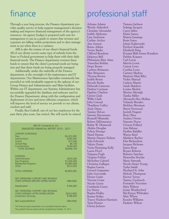### finance

Through a year long process, the Finance department provides quality service to help support management's decision making and improve financial management of the agency's resources. An agency budget is prepared each year for management to use as a guide to ensure that revenue and expenses are falling within projections and to alert management to act when there is a variance.

ARI is also the trustee of our client's financial funds. All of our clients receive some type of subsidy from the State or Federal government to help them with their daily financial needs. The Finance department oversees these funds to ensure that the client's personal needs are being met and that these funds are being properly managed.

Additionally, under the umbrella of the Finance department, is the oversight of the maintenance and IT departments. Our Maintenance Specialist consistently has provided us with invaluable support in the upkeep of our Group Homes and Administrative and Main facilities. Within our IT department, our Systems Administrator has successfully upgraded the database and software used in the Finance Department, along with the configuration and deployment of new and more efficient computers, which will improve the level of service we provide to our clients, vendors and staff.

Finally, Bea Grabell, one of our key employees for the past thirty plus years, has retired. She will surely be missed.

| ARI Of Connecticut, Inc.<br>UNAUDITED FINANCIAL REPORT 2010 - 2011                                                           |                                                                             |
|------------------------------------------------------------------------------------------------------------------------------|-----------------------------------------------------------------------------|
| <b>SUPPORT &amp; REVENUE</b><br>Fees<br>Subcontracts<br>Grants<br><b>United Way</b><br>Contributions<br><b>TOTAL REVENUE</b> | \$6,265,000<br>\$280,000<br>\$15,000<br>\$8,100<br>\$240,000<br>\$6,808,100 |
| <b>EXPENSES</b><br>Administration<br>Day Programs<br><b>Residential Programs</b><br>Other<br><b>TOTAL EXPENSES</b>           | \$935,000<br>\$1,665,000<br>\$3,885,000<br>\$410,000<br>\$6,895,000         |
| NET OPERATING SUPPORT AND REVENUE<br><b>OVER EXPENSES BEFORE DEPRECIATION</b><br>Depreciation                                | ( \$86, 900)<br>\$166,000                                                   |
| NET OPERATING SUPPORT AND REVENUE<br><b>OVER EXPENSES AFTER DEPRECIATION</b><br><b>Investment Earnings</b>                   | (\$252,900)<br>\$188,000                                                    |
| Net Surplus/(Deficit)                                                                                                        | $($ \$64,900)                                                               |

The financial report presented is an unaudited financial report. The audited financial report will be completed by October 15, 2011.

### professional staff

Arleana Adams Wendy Aldershof Christine Alexander Judith Alphonse Lisa Anderson Carline Archer Ana Arnzen Renee Atkins Yvette Banks Clifford Beauleau Dekenya Bell Philomene Bien Aime Toneichia Bolden Hope Boone Carlette Brisseaux Max Brisseaux Theresa Brown Judith Bruen Beverly Burke Deborah Cameron Darlene Caviness Daphne Charlow Gloria Clark Willie Clark John Conrad Thaddeus Cuffee Andy Dayes Tammy DeLeo Simone Desvarenes Jheanell Dhamalie Robert DiDomenico Robin W. Dimmock Ahisha Douglas Felicia Drungo Sharil Dumas Marnie Dupree-Nelson Julia Edwards Valerie Ennis Veola Flemming-Kelly Laura Floyd Tiajuana Fogle Virginia Foldoe Micheline Gabriel Christina Gallegos Regina Garcia Gerard Gasparino John Gorcynski Ebony Grant Vincent Grant Nicole Green Guirlanda Guery Joy Henry Regina Holley Renita Holley Tracey Hudson-Harrison Taria Hunter Gloria Jackson

Tionaya Jackson Solange Jacques Carey Jaffee Elaine James Sharon Jennings Rosie Jones Jolene Kalinowski Herbert Kasedde Elizabeth King Kouassi Blah Irenee Kouakou Debbie Krasner Carl Lewis Marvin Lewis Caston Lowe Cynthia Lowe Carmen Madera Marjorie Mair-Riley Vickie Manual Carlton Martin Asiah Matthew Louise Medoit Maxine Mereigh Tanika Miller Alexandra Rey Molina Yolanda Morales Sheldon Morrison Sherri Norwood Jacinth Nugent Jhon Oliva Audrey Owens Nanotte Pierre Octavia Pollard Ann Rabuse Pauline Rafalko Wayne Reid Matthew Reyher Elsa Richardson Jacques Richeme James Roan Bryant Roberts Roberto Sanchez Monretha Sinclair Marie Sistrunk Nicole Smart-Young Tysha Smith Sherland St. John Melody Thompson Hector Torres Tammy Upchurch Fernando Victorino Myia Walters Joann Weatherford Sha'Kenya Whittaker Matt Whyte Kendra Williams Paulette Wilson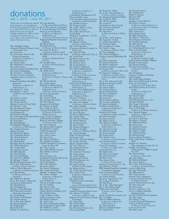### donations July 1, 2010 – June 30, 2011

*Thank you to the following individ-*Ms. Joan Bragdon *uals, businesses and organizations for their kind generosity. Please call us at (203) 324-9258, ext. 3023 to find out how you can help by making a donation to ARI or volunteering your time for those we serve. You can also find more information @www.arict.org.*

Mrs. Elizabeth Adamo Advanced Physical Therapy Center of Stamford, LLC Mr. Louis Aita Ms. Antoinette Albero & Ms. Florence Bonvenuto *In Memory of Michael A. DeBartolomeo, Jr.* Mr. Vincent Alesi Ms. Elizabeth R. Alexander Ms. Jaclyn Alessio American Express Charitable Fund Ms. Susan Anderheggen Mr. Antonios L. Andriolas Vincent & Lurana Andrisani Anquillare, Ruocco, Traester & Company Michael & Kathleen Woodhall Apruzzese *In Memory of Michael A. DeBartolomeo, Jr.* Mrs. Barbara L. Arata Ms. Rosalyn A. Arena *In Memory of Jennifer Rose Arena* Mrs. Jane K. Arestia Mr. Daniel Arestia Mr. Charles Arestia Barbara Aronica & Peter Buck Mr. Herbert J. Ashe Mr. Olu Akiwumi-Assani Mr. Michael Avgerinos Axel Johnson Inc. Mr. Donald Axleroad Ms. Irene Ayoub & Mr. Dean Pedon Cacace Tusch & Santagata Reverend Gill Babeu Mr. Peter Bales Mr. Sunil Banerjee Mr. Kamalesh Banerjee *In Memory of Dilip Banerjee* Mr. Chandan Banerjee Bank of America Mr. Michael W. Barker Ms. Ganimedes Barrera Mrs. Marsha Bartram Mrs. Evelyn Bauer Mr. Michael Beal Beardsley, Brown & Bassett Mr. Clifford Beauleau Ms. Carolyn Beck Mrs. Judith S. Becker Mr. Mike Beldotti Mr. Chris Beldotti Mrs. Patricia Belknap Ms. Janna H. J. Bellwin Mr. Michael T. Beluk Benefit Planning Services, LLC Mr. & Mrs. John Benison *In Honor of James Saunders* Allan & Valerie Benowitz *In Memory of Barbara Benowitz* Mrs. Angela Christofor Ms. Ellin Berman *In Memory of Maria V. Rzepnicki* Mrs. Mildred A. Beattie Mr. & Mrs. Frank C. Biancuzzo Lawrence & Helen Biordi Mr. Daniel Bivona Mr. John Blaustein Morgan & Elyse Blueglass Bob's Discount Furniture Charitable Foundation Mr. Gerald Bodzy Mr. Robert D. Boehringer Ms. Jennifer Bowen Mr. & Mrs. John Boland Ms. Beverly Bonfoey Ms. Holly Bosley Boston Red Sox Eleanor & Louis Bova

*In Memory of Michael DiSette* Mr. & Mrs. Herbert A. Bregman E. Gaynor Brennan Golf Course Henry & Jo Ann Brenner *In Memory of Michael A. DeBartolomeo, Jr. In Memory of Christine Brenner* Bridgeport Bluefish Professional Baseball Mr. Marty Brown Ms. Bonnie Brown *In Memory of Michael DiSette* Ms. Susan M. Brown *In Memory of Minnie Vitale* Mr. William R. Bruce & Ms. Lynn Bellin *In Honor of Richard Bruce's Birthday* Mr. Douglas Bruce *In Honor of Richard Bruce's Birthday* Mr. Richard Bruce Ms. Judith Bruen<br>In Memory of Michael A. *In Memory of Michael A. DeBartolomeo, Jr. In Memory of Pauline & Eugene Bruen* Mr. Michael Bruzik Ms. Candice Bryan Elizabeth & Robert Bryson *In Memory of Michael A. DeBartolomeo, Jr. In Memory of Sheryl Lotstein* Ms. Betty Jean Buchan Ms. Jamie Buck Mrs. Carol T. Bunk Ms. Amanda Buonagurio Mr. Dean Busetti Eugenia & Keith Butler Mr. Thomas A. Butler Mr. Cormac D. Byrne Cabezas-DeAngelis, LLC *In Memory of Michael A. DeBartolomeo, Jr.* California Pizza Kitchen Robert & Dorothy Callahan *In Memory of Jim Coley* Mr. Chris Calorossi Ms. Bonnie Kim Campbell Mr. Daniel H. Capetta CARF International Mrs. Elsie Carretto Mrs. Cindy Carson Ms. Sara Carter Mrs. Maria Castellucci Ms. Danielle Castellucci Catholic Daughters of America, Court St. Mary #82 Mr. Chris Catropa Mrs. Ashley Reyher-Catropa Mrs. Darlene Caviness A.K. Caye Ms. Genevieve Cerf Challenged People In Motion Inc. Mr. Jacquest Charbin Chef Luis Express Mrs. Judy Chiapetta Mr. James Chirico Ms. Karen Christiansen Matthew & Megan Chunis Mrs. Nancy Ciaraldi *In Memory of Michael A. DeBartolomeo, Jr.* City Carting, Inc. Theresa & Joseph Cipolla Mr. Joe Citarella Mrs. Gloria Clark Mrs. Maureen O. Clark Clifton, Budd & DeMaria, LLP Mrs. Rachel Cohen Cathy & Robert Cohen Gladys & Morton Cohen Mr. Daniel Colangelo Ms. Anita Coles Ms. Jane Combrinck-Graham Lee Combrinck-Graham, M.D. Ms. Phyllis R. Comrie Mrs. Patricia H. Connors

*In Memory of Michael A. DeBartolomeo, Jr.* Constellation Management LLC Diane & Hallie Corba Core Excavation Contractors Corp. *In Memory of Michael DiSette* Ms. Jennifer Corpora Mr. George Corsilia Mr. & Mrs. Walter Cortese Mrs. Alba V. Crespo Mr. & Mrs. Darrel Croot Crystal Rock Thomas R. Cuddeback – TC-PCs Mr. John Curley Curtain Call, Inc. Ms. Sharon Custons *In Honor of John Martin* Ms. Toni D'Agostino D'Agostino Brothers Foreign Car Service, Inc. Ms. Claire M. Daly *In Memory of Richard F. Daly, Sr.* Mr. Lewis Dana Davidoff of Geneva Inc. Ms. Andrea Davies Mr. Robert J. Davis Ms. Carole Dawson Mr. Joseph J. DeBartolo Mrs. Marie DeBartolomeo *In Memory of Michael A. DeBartolomeo, Jr. In Memory of Sheryl Lotstein* Ms. A. J. DeBartolomeo *In Memory of Michael A. DeBartolomeo, Jr.* Paul & Jean DeBartolomeo *In Memory of Michael A. DeBartolomeo, Jr.* Frank & Gloria DeBartolomeo *In Memory of Michael A. DeBartolomeo, Jr.* Mrs. Tammy A. DeLeo Florence P. DeLuca, *In Honor of Eileen Bruce* Ms. Mary Ann DeRosa *In Memory of Michael DiSette* Mrs. Marie DeRubis *In Memory of Lewis DeRubis* Mr. Nicholas DiCarlo Mr. Jerry DiCenzo Dr. Robert DiDomenico Mr. Yuemin Ding Mrs. Florence DiVasto Ms. Wendy Dittrich Ms. Stefanie Docimo Ms. Karen Dolan Mr. Thomas Dougherty Ms. Sharon Doughty *In Memory of Michael DiSette* Ms. Ahisha Douglas Helga & John Downing Downtown Golf Mr. & Mrs. Nicholas DuBiago Mr. George Ducanic Mark & Jennifer Duffy Ms. Tracy Dumont Ebco International Inc. Mr. Alan Edwards Mr. Cameron D. Emmott Ms. Valerie Ennis Ms. Cindy Epstein Ms. Rosemarie Esmail ESPN Productions, Inc. Mrs. Marti Etter Mr. James Euchner *In Honor of John Martin* Mr. Richard Factor Mr. & Mrs. Kenneth Fahan Mrs. Angela Fazio *In Memory of Michael A. DeBartolomeo* Ms. Evelyn Fella Fairfield County Community Foundation *Louis & Ruth Sternbach Fund* Fairfield University Department of Athletics Fairfield University Quick Center Mrs. Sharon T. Feighery *In Memory of Minnie Vitale* Maurice & Carol Feinberg Family Foundation Ms. Lynne Fife Ms. Cynthia Filek Ms. Melissa Filek Fire Prevention Service, Inc. First County Bank

Mr. Brendan J. Fisher Mr. & Mrs. Harold Fisher, Jr. *In Honor of Kathy Carretto* Ms. Maureen Fitzpatrick-Wilkes Ms. Lucille M. Flynn Mrs. Ruth Fogelman Ms. Carol Fox Christopher & Tanya Foxall Mrs. Giovanni Frattaroli Mr. Joe Frattaroli Mr. Alan Frese *In Memory of Polly & Walter Frese* Mr. & Mrs. Carl Friedman Ms. Suzanne S. Fudala G. A. Fleet Associates Inc. Mr. Edward Gajdzis Mrs. Josephine H. Gaipa Ms. Carol A. Gage<br>*In Memory of Minnie Vitale*<br>Mr. Tom Gallagher<br>Mrs. Noreen Gallagher<br>Garden Catering-High Ridge Rd. LLC Ms. Diane Gasparino Mr. Gerard Gasparino Mr. Robert Gasparino Geraldine & Robert Gasparino Mr. Joseph Gelb *In Memory of Jack & Rose Gelb* Ms. Patricia S. Gelineau *In Memory of Charles Hertz In Honor of Mark Combrinck-Hertz* Mr. & Mrs. Edward Gentile Stephen & Antonia Gerard Mr. Pete Gerardi Mr. Daniel Gilbert Ms. Patricia Gilmore Janice & Paul Ginotti Mr. Eric S. Glasband Mr. Ene o. Glasba<br>Mr. John Glessner Mr. Leo Gold Phil & Eileen Goldberg Mrs. Louise Goldenberg Mr. James Goldsmith Camille & Joseph Golia *In Memory of Michael A. DeBartolomeo, Jr.* Wendy & Ed Gomez *In Memory of Marie Anderson* Mr. John Gorcynski Mr. Stuart Gordon Ms. Elaine Gouras Mrs. Beatrice Grabell *In Memory of Michael A. DeBartolomeo, Jr.* Ms. Clara M. Grande Mr. Edward Granelli Ms. Irene Granelli Ms. Karina Gratz Mrs. Harriett Gray *In Memory of Sheryl Lotstein* Tom & Susan Green *In Honor of Hannah LaForte* Susan M. Greenberg *In Honor of Gladys Cohen* Greenwich Taxi, Inc. Mr. Mark Grein Ms. Mary Lee Grisanti Mrs. Jean Grossman Mr. Bob Grosso Mrs. Denise Grove *In Honor of Gary Grove* Guerrera Construction Co., Inc. Mr. Charles A. Guinta IBM National Employee Charitable Contribution Campaign Rose & Charles Halper *In Honor of Cate Steinberg* Mr. Arthur Hanlon Harmony Yoga Studio, LLC Mr. George W. Harnik Mr. Dan Haron Mr. & Mrs. John Harrington Mr. & Mrs. Walter Hatch Philip & Beverly Hattis *In Honor of The Sussman Family* Heart of Gold Fine Jewelry, LLC Ms. Lee Heller Ellen & William Herman *In Memory of Michael A. DeBartolomeo, Jr.* Ms. Hope Hershey Robert & Elizabeth Hertz Mr. Adam Hertz

Mr. Theodore Hertz Mr. Joachim Herz Robert P. Herzog Mr. Scott Hill Holiday Inn Hoppies on The Hill LLC Ms. Doris A. Horan *In Memory of Frank Macari, Sr. In Memory of Mary E. Lombardi* Hotel Zero Degrees HPC Foodservice Sheila Marie Huettl Mr. Mike Humeniuk Mr. Robert A. Hurwich Hyatt Regency Greenwich Mr. Michael Imbrogno Mr. John Inserra Irina & Adam Irgon & A Mechanical Service, LLC Mary & Jerold Jacobs *In Memory of Michael A. DeBartolomeo, Jr.* Alan & Sari Jaffe *In Memory of David S. Jaffe* Juanita James & Dudley Williams Ronald & Meryl Japha Ms. Sharon Jennings Ms. Rita Evans Jerabek *In Memory of Frank & Paul Jerabek* Mr. Ed Johnson Johnson & Johnson Matching Gifts Program Mrs. Emily Russo-Johnson Mary Joyce-McDonough & Family Sherry & David Jonas *In Memory of Dr. Julian Mark* Beth Wilson-Jordan & Lawrence Jordan *In Memory of Michael A. DeBartolomeo, Jr.* Mr. David P. Judd Mrs. Jackie Judge KAF Manufacturing Co., Inc. Vasudeva Kamath Mrs. Peggy S. Kaminski Mrs. Beatrice Kaminsky Irene & Sid Kaplan *In Memory of Barbara Benowitz* Mrs. Marjorie Kappas *In Memory of Michael A. DeBartolomeo, Jr.* Mr. Lewis L. Kasowitz Mr. Robert J. Katzeff Mr. William Kaufman Ms. Sylvia Kaye Mr. Charles R. Keane Mr. Michael Keenan Ms. Diane G. Keller Mrs. Elizabeth King Mr. Michael Kivell Kiwanis Club of Stamford Debra Adler-Klein & Matthew Klein Knights of Columbus Saint Augustine Council, No. 41 Knights of Columbus Father Myron V. Miller Council, No. 5833 Mr. Herbert Kohn *In Memory of Kay Kohn* Mrs. Mary Kopp Mr. Robert Kowaleski Mrs. Gerry Kramer Mr. & Mrs. Robert Krasnor *In Memory of Charles Hertz* Carol & Allen Krim Ms. Ann V. Krupnik Mr. Philip Kucera Mrs. Nancy Kucera Kiwanis Club of Stamford Lacerenza Funeral Home & Cremation Services LaForte Financial Services, Inc. Ms. Jane Lancaster Mr. Drew Lang David S. Lapine Inc. LLC Leon N. Lapine Charitable Residuary Trust Late Show With David Letterman Ms. Mari Lattes Ms. Kathie F. Laug Leveroni Financial Management Andrea & Martin Levine *In Memory of Sheryl Lotstein* Laura & Joel Levine Ms. Beth Levine